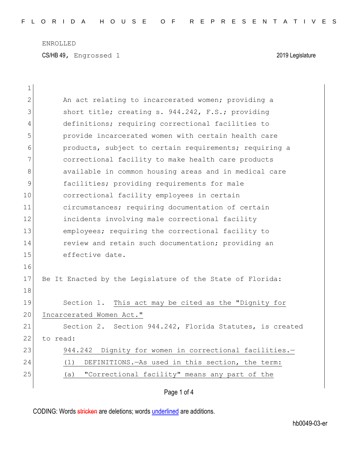CS/HB 49, Engrossed 1 2019 Legislature

| $\mathbf 1$ |                                                           |  |  |  |  |  |  |  |  |  |  |
|-------------|-----------------------------------------------------------|--|--|--|--|--|--|--|--|--|--|
| 2           | An act relating to incarcerated women; providing a        |  |  |  |  |  |  |  |  |  |  |
| 3           | short title; creating s. 944.242, F.S.; providing         |  |  |  |  |  |  |  |  |  |  |
| 4           | definitions; requiring correctional facilities to         |  |  |  |  |  |  |  |  |  |  |
| 5           | provide incarcerated women with certain health care       |  |  |  |  |  |  |  |  |  |  |
| 6           | products, subject to certain requirements; requiring a    |  |  |  |  |  |  |  |  |  |  |
| 7           | correctional facility to make health care products        |  |  |  |  |  |  |  |  |  |  |
| 8           | available in common housing areas and in medical care     |  |  |  |  |  |  |  |  |  |  |
| 9           | facilities; providing requirements for male               |  |  |  |  |  |  |  |  |  |  |
| 10          | correctional facility employees in certain                |  |  |  |  |  |  |  |  |  |  |
| 11          | circumstances; requiring documentation of certain         |  |  |  |  |  |  |  |  |  |  |
| 12          | incidents involving male correctional facility            |  |  |  |  |  |  |  |  |  |  |
| 13          | employees; requiring the correctional facility to         |  |  |  |  |  |  |  |  |  |  |
| 14          | review and retain such documentation; providing an        |  |  |  |  |  |  |  |  |  |  |
| 15          | effective date.                                           |  |  |  |  |  |  |  |  |  |  |
| 16          |                                                           |  |  |  |  |  |  |  |  |  |  |
| 17          | Be It Enacted by the Legislature of the State of Florida: |  |  |  |  |  |  |  |  |  |  |
| 18          |                                                           |  |  |  |  |  |  |  |  |  |  |
| 19          | Section 1. This act may be cited as the "Dignity for      |  |  |  |  |  |  |  |  |  |  |
| 20          | Incarcerated Women Act."                                  |  |  |  |  |  |  |  |  |  |  |
| 21          | Section 2. Section 944.242, Florida Statutes, is created  |  |  |  |  |  |  |  |  |  |  |
| 22          | to read:                                                  |  |  |  |  |  |  |  |  |  |  |
| 23          | 944.242 Dignity for women in correctional facilities.-    |  |  |  |  |  |  |  |  |  |  |
| 24          | DEFINITIONS. - As used in this section, the term:<br>(1)  |  |  |  |  |  |  |  |  |  |  |
| 25          | "Correctional facility" means any part of the<br>(a)      |  |  |  |  |  |  |  |  |  |  |
|             |                                                           |  |  |  |  |  |  |  |  |  |  |

Page 1 of 4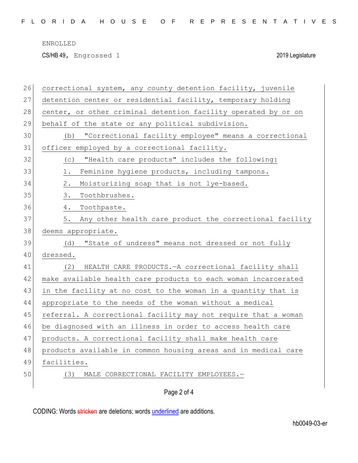CS/HB 49, Engrossed 1 2019 Legislature

| 26 | correctional system, any county detention facility, juvenile   |  |  |  |  |  |  |  |  |  |  |
|----|----------------------------------------------------------------|--|--|--|--|--|--|--|--|--|--|
| 27 | detention center or residential facility, temporary holding    |  |  |  |  |  |  |  |  |  |  |
| 28 | center, or other criminal detention facility operated by or on |  |  |  |  |  |  |  |  |  |  |
| 29 | behalf of the state or any political subdivision.              |  |  |  |  |  |  |  |  |  |  |
| 30 | "Correctional facility employee" means a correctional<br>(b)   |  |  |  |  |  |  |  |  |  |  |
| 31 | officer employed by a correctional facility.                   |  |  |  |  |  |  |  |  |  |  |
| 32 | "Health care products" includes the following:<br>(C)          |  |  |  |  |  |  |  |  |  |  |
| 33 | Feminine hygiene products, including tampons.<br>1.            |  |  |  |  |  |  |  |  |  |  |
| 34 | Moisturizing soap that is not lye-based.<br>2.                 |  |  |  |  |  |  |  |  |  |  |
| 35 | 3.<br>Toothbrushes.                                            |  |  |  |  |  |  |  |  |  |  |
| 36 | 4.<br>Toothpaste.                                              |  |  |  |  |  |  |  |  |  |  |
| 37 | Any other health care product the correctional facility<br>5.  |  |  |  |  |  |  |  |  |  |  |
| 38 | deems appropriate.                                             |  |  |  |  |  |  |  |  |  |  |
| 39 | "State of undress" means not dressed or not fully<br>(d)       |  |  |  |  |  |  |  |  |  |  |
| 40 | dressed.                                                       |  |  |  |  |  |  |  |  |  |  |
| 41 | HEALTH CARE PRODUCTS. - A correctional facility shall<br>(2)   |  |  |  |  |  |  |  |  |  |  |
| 42 | make available health care products to each woman incarcerated |  |  |  |  |  |  |  |  |  |  |
| 43 | in the facility at no cost to the woman in a quantity that is  |  |  |  |  |  |  |  |  |  |  |
| 44 | appropriate to the needs of the woman without a medical        |  |  |  |  |  |  |  |  |  |  |
| 45 | referral. A correctional facility may not require that a woman |  |  |  |  |  |  |  |  |  |  |
| 46 | be diagnosed with an illness in order to access health care    |  |  |  |  |  |  |  |  |  |  |
| 47 | products. A correctional facility shall make health care       |  |  |  |  |  |  |  |  |  |  |
| 48 | products available in common housing areas and in medical care |  |  |  |  |  |  |  |  |  |  |
| 49 | facilities.                                                    |  |  |  |  |  |  |  |  |  |  |
| 50 | MALE CORRECTIONAL FACILITY EMPLOYEES.-<br>(3)                  |  |  |  |  |  |  |  |  |  |  |
|    |                                                                |  |  |  |  |  |  |  |  |  |  |
|    | Page 2 of 4                                                    |  |  |  |  |  |  |  |  |  |  |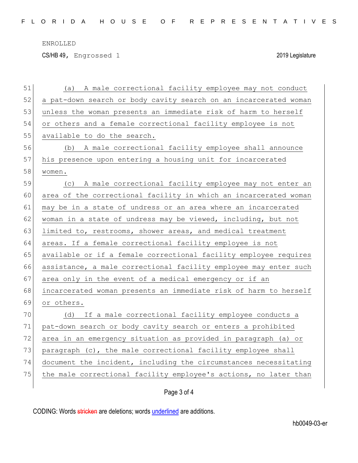CS/HB 49, Engrossed 1 2019 Legislature

| 51 | A male correctional facility employee may not conduct<br>(a)     |  |  |  |  |  |  |  |  |  |  |
|----|------------------------------------------------------------------|--|--|--|--|--|--|--|--|--|--|
| 52 | a pat-down search or body cavity search on an incarcerated woman |  |  |  |  |  |  |  |  |  |  |
| 53 | unless the woman presents an immediate risk of harm to herself   |  |  |  |  |  |  |  |  |  |  |
| 54 | or others and a female correctional facility employee is not     |  |  |  |  |  |  |  |  |  |  |
| 55 | available to do the search.                                      |  |  |  |  |  |  |  |  |  |  |
| 56 | (b) A male correctional facility employee shall announce         |  |  |  |  |  |  |  |  |  |  |
| 57 | his presence upon entering a housing unit for incarcerated       |  |  |  |  |  |  |  |  |  |  |
| 58 | women.                                                           |  |  |  |  |  |  |  |  |  |  |
| 59 | A male correctional facility employee may not enter an<br>(C)    |  |  |  |  |  |  |  |  |  |  |
| 60 | area of the correctional facility in which an incarcerated woman |  |  |  |  |  |  |  |  |  |  |
| 61 | may be in a state of undress or an area where an incarcerated    |  |  |  |  |  |  |  |  |  |  |
| 62 | woman in a state of undress may be viewed, including, but not    |  |  |  |  |  |  |  |  |  |  |
| 63 | limited to, restrooms, shower areas, and medical treatment       |  |  |  |  |  |  |  |  |  |  |
| 64 | areas. If a female correctional facility employee is not         |  |  |  |  |  |  |  |  |  |  |
| 65 | available or if a female correctional facility employee requires |  |  |  |  |  |  |  |  |  |  |
| 66 | assistance, a male correctional facility employee may enter such |  |  |  |  |  |  |  |  |  |  |
| 67 | area only in the event of a medical emergency or if an           |  |  |  |  |  |  |  |  |  |  |
| 68 | incarcerated woman presents an immediate risk of harm to herself |  |  |  |  |  |  |  |  |  |  |
| 69 | or others.                                                       |  |  |  |  |  |  |  |  |  |  |
| 70 | (d) If a male correctional facility employee conducts a          |  |  |  |  |  |  |  |  |  |  |
| 71 | pat-down search or body cavity search or enters a prohibited     |  |  |  |  |  |  |  |  |  |  |
| 72 | area in an emergency situation as provided in paragraph (a) or   |  |  |  |  |  |  |  |  |  |  |
| 73 | paragraph (c), the male correctional facility employee shall     |  |  |  |  |  |  |  |  |  |  |
| 74 | document the incident, including the circumstances necessitating |  |  |  |  |  |  |  |  |  |  |
| 75 | the male correctional facility employee's actions, no later than |  |  |  |  |  |  |  |  |  |  |
|    |                                                                  |  |  |  |  |  |  |  |  |  |  |

Page 3 of 4